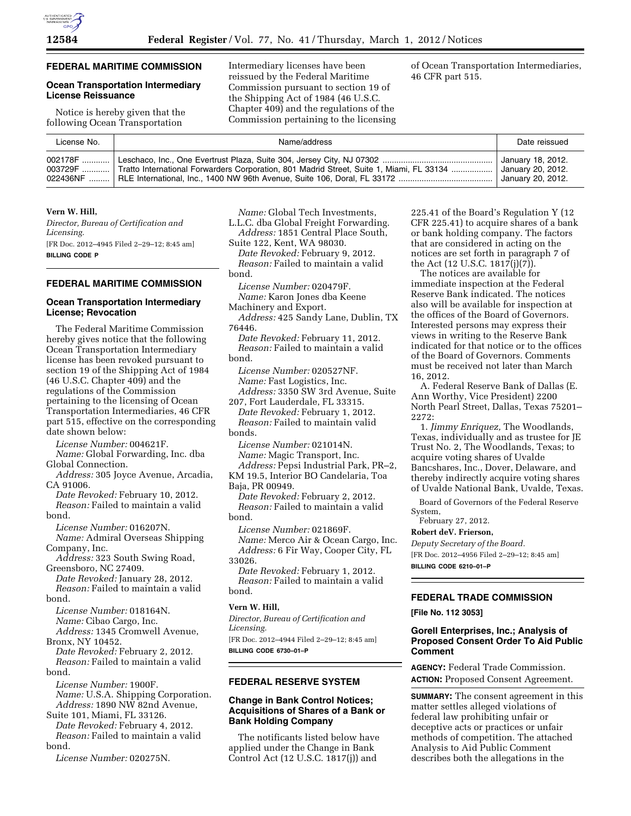## **FEDERAL MARITIME COMMISSION**

## **Ocean Transportation Intermediary License Reissuance**

Notice is hereby given that the following Ocean Transportation

Intermediary licenses have been reissued by the Federal Maritime Commission pursuant to section 19 of the Shipping Act of 1984 (46 U.S.C. Chapter 409) and the regulations of the Commission pertaining to the licensing of Ocean Transportation Intermediaries, 46 CFR part 515.

| License No. | Name/address                                                                                      | Date reissued                                               |
|-------------|---------------------------------------------------------------------------------------------------|-------------------------------------------------------------|
|             | 003729F  Tratto International Forwarders Corporation, 801 Madrid Street, Suite 1, Miami, FL 33134 | January 18, 2012.<br>January 20, 2012.<br>January 20, 2012. |

#### **Vern W. Hill,**

*Director, Bureau of Certification and Licensing.*  [FR Doc. 2012–4945 Filed 2–29–12; 8:45 am] **BILLING CODE P** 

### **FEDERAL MARITIME COMMISSION**

## **Ocean Transportation Intermediary License; Revocation**

The Federal Maritime Commission hereby gives notice that the following Ocean Transportation Intermediary license has been revoked pursuant to section 19 of the Shipping Act of 1984 (46 U.S.C. Chapter 409) and the regulations of the Commission pertaining to the licensing of Ocean Transportation Intermediaries, 46 CFR part 515, effective on the corresponding date shown below:

*License Number:* 004621F.

*Name:* Global Forwarding, Inc. dba Global Connection.

*Address:* 305 Joyce Avenue, Arcadia, CA 91006.

*Date Revoked:* February 10, 2012. *Reason:* Failed to maintain a valid bond.

*License Number:* 016207N. *Name:* Admiral Overseas Shipping Company, Inc.

*Address:* 323 South Swing Road, Greensboro, NC 27409.

*Date Revoked:* January 28, 2012. *Reason:* Failed to maintain a valid bond.

*License Number:* 018164N. *Name:* Cibao Cargo, Inc.

*Address:* 1345 Cromwell Avenue, Bronx, NY 10452.

*Date Revoked:* February 2, 2012. *Reason:* Failed to maintain a valid bond.

*License Number:* 1900F. *Name:* U.S.A. Shipping Corporation. *Address:* 1890 NW 82nd Avenue,

Suite 101, Miami, FL 33126. *Date Revoked:* February 4, 2012. *Reason:* Failed to maintain a valid bond.

*License Number:* 020275N.

*Name:* Global Tech Investments, L.L.C. dba Global Freight Forwarding. *Address:* 1851 Central Place South,

Suite 122, Kent, WA 98030.

*Date Revoked:* February 9, 2012. *Reason:* Failed to maintain a valid bond.

*License Number:* 020479F. *Name:* Karon Jones dba Keene Machinery and Export.

*Address:* 425 Sandy Lane, Dublin, TX 76446.

*Date Revoked:* February 11, 2012. *Reason:* Failed to maintain a valid bond.

*License Number:* 020527NF. *Name:* Fast Logistics, Inc.

*Address:* 3350 SW 3rd Avenue, Suite 207, Fort Lauderdale, FL 33315.

*Date Revoked:* February 1, 2012. *Reason:* Failed to maintain valid bonds.

*License Number:* 021014N. *Name:* Magic Transport, Inc.

*Address:* Pepsi Industrial Park, PR–2, KM 19.5, Interior BO Candelaria, Toa Baja, PR 00949.

*Date Revoked:* February 2, 2012. *Reason:* Failed to maintain a valid bond.

*License Number:* 021869F. *Name:* Merco Air & Ocean Cargo, Inc. *Address:* 6 Fir Way, Cooper City, FL 33026.

*Date Revoked:* February 1, 2012. *Reason:* Failed to maintain a valid bond.

#### **Vern W. Hill,**

*Director, Bureau of Certification and Licensing.*  [FR Doc. 2012–4944 Filed 2–29–12; 8:45 am] **BILLING CODE 6730–01–P** 

#### **FEDERAL RESERVE SYSTEM**

# **Change in Bank Control Notices; Acquisitions of Shares of a Bank or Bank Holding Company**

The notificants listed below have applied under the Change in Bank Control Act (12 U.S.C. 1817(j)) and

225.41 of the Board's Regulation Y (12 CFR 225.41) to acquire shares of a bank or bank holding company. The factors that are considered in acting on the notices are set forth in paragraph 7 of the Act (12 U.S.C. 1817(j)(7)).

The notices are available for immediate inspection at the Federal Reserve Bank indicated. The notices also will be available for inspection at the offices of the Board of Governors. Interested persons may express their views in writing to the Reserve Bank indicated for that notice or to the offices of the Board of Governors. Comments must be received not later than March 16, 2012.

A. Federal Reserve Bank of Dallas (E. Ann Worthy, Vice President) 2200 North Pearl Street, Dallas, Texas 75201– 2272:

1. *Jimmy Enriquez,* The Woodlands, Texas, individually and as trustee for JE Trust No. 2, The Woodlands, Texas; to acquire voting shares of Uvalde Bancshares, Inc., Dover, Delaware, and thereby indirectly acquire voting shares of Uvalde National Bank, Uvalde, Texas.

Board of Governors of the Federal Reserve System,

February 27, 2012.

**Robert deV. Frierson,** 

*Deputy Secretary of the Board.* 

[FR Doc. 2012–4956 Filed 2–29–12; 8:45 am] **BILLING CODE 6210–01–P** 

# **FEDERAL TRADE COMMISSION**

**[File No. 112 3053]** 

### **Gorell Enterprises, Inc.; Analysis of Proposed Consent Order To Aid Public Comment**

**AGENCY:** Federal Trade Commission. **ACTION:** Proposed Consent Agreement.

**SUMMARY:** The consent agreement in this matter settles alleged violations of federal law prohibiting unfair or deceptive acts or practices or unfair methods of competition. The attached Analysis to Aid Public Comment describes both the allegations in the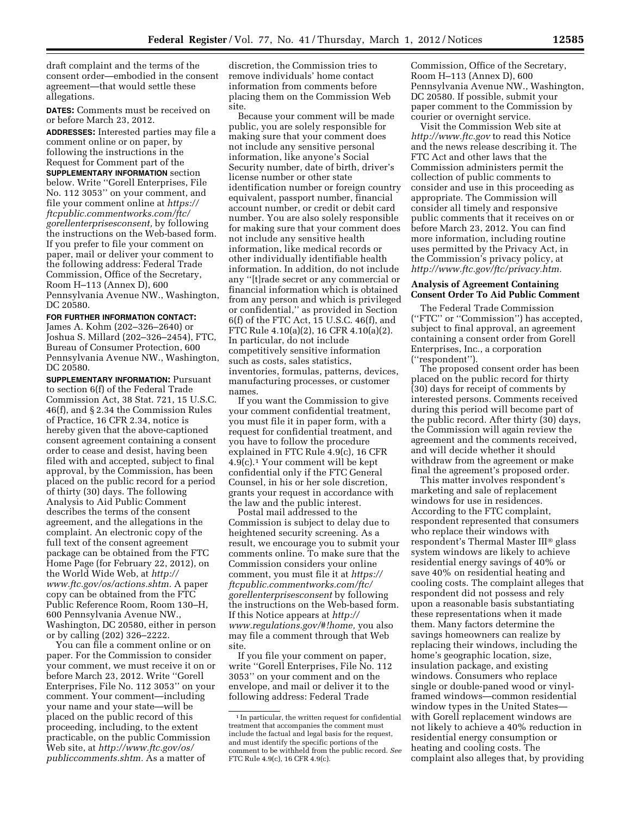draft complaint and the terms of the consent order—embodied in the consent agreement—that would settle these allegations.

**DATES:** Comments must be received on or before March 23, 2012.

**ADDRESSES:** Interested parties may file a comment online or on paper, by following the instructions in the Request for Comment part of the **SUPPLEMENTARY INFORMATION** section below. Write ''Gorell Enterprises, File No. 112 3053'' on your comment, and file your comment online at *[https://](https://ftcpublic.commentworks.com/ftc/gorellenterprisesconsent)  [ftcpublic.commentworks.com/ftc/](https://ftcpublic.commentworks.com/ftc/gorellenterprisesconsent)  [gorellenterprisesconsent,](https://ftcpublic.commentworks.com/ftc/gorellenterprisesconsent)* by following the instructions on the Web-based form. If you prefer to file your comment on paper, mail or deliver your comment to the following address: Federal Trade Commission, Office of the Secretary, Room H–113 (Annex D), 600 Pennsylvania Avenue NW., Washington, DC 20580.

# **FOR FURTHER INFORMATION CONTACT:**

James A. Kohm (202–326–2640) or Joshua S. Millard (202–326–2454), FTC, Bureau of Consumer Protection, 600 Pennsylvania Avenue NW., Washington, DC 20580.

**SUPPLEMENTARY INFORMATION:** Pursuant to section 6(f) of the Federal Trade Commission Act, 38 Stat. 721, 15 U.S.C. 46(f), and § 2.34 the Commission Rules of Practice, 16 CFR 2.34, notice is hereby given that the above-captioned consent agreement containing a consent order to cease and desist, having been filed with and accepted, subject to final approval, by the Commission, has been placed on the public record for a period of thirty (30) days. The following Analysis to Aid Public Comment describes the terms of the consent agreement, and the allegations in the complaint. An electronic copy of the full text of the consent agreement package can be obtained from the FTC Home Page (for February 22, 2012), on the World Wide Web, at *[http://](http://www.ftc.gov/os/actions.shtm) [www.ftc.gov/os/actions.shtm.](http://www.ftc.gov/os/actions.shtm)* A paper copy can be obtained from the FTC Public Reference Room, Room 130–H, 600 Pennsylvania Avenue NW., Washington, DC 20580, either in person or by calling (202) 326–2222.

You can file a comment online or on paper. For the Commission to consider your comment, we must receive it on or before March 23, 2012. Write ''Gorell Enterprises, File No. 112 3053'' on your comment. Your comment—including your name and your state—will be placed on the public record of this proceeding, including, to the extent practicable, on the public Commission Web site, at *[http://www.ftc.gov/os/](http://www.ftc.gov/os/publiccomments.shtm) [publiccomments.shtm.](http://www.ftc.gov/os/publiccomments.shtm)* As a matter of

discretion, the Commission tries to remove individuals' home contact information from comments before placing them on the Commission Web site.

Because your comment will be made public, you are solely responsible for making sure that your comment does not include any sensitive personal information, like anyone's Social Security number, date of birth, driver's license number or other state identification number or foreign country equivalent, passport number, financial account number, or credit or debit card number. You are also solely responsible for making sure that your comment does not include any sensitive health information, like medical records or other individually identifiable health information. In addition, do not include any ''[t]rade secret or any commercial or financial information which is obtained from any person and which is privileged or confidential,'' as provided in Section 6(f) of the FTC Act, 15 U.S.C. 46(f), and FTC Rule 4.10(a)(2), 16 CFR 4.10(a)(2). In particular, do not include competitively sensitive information such as costs, sales statistics, inventories, formulas, patterns, devices, manufacturing processes, or customer names.

If you want the Commission to give your comment confidential treatment, you must file it in paper form, with a request for confidential treatment, and you have to follow the procedure explained in FTC Rule 4.9(c), 16 CFR 4.9(c).1 Your comment will be kept confidential only if the FTC General Counsel, in his or her sole discretion, grants your request in accordance with the law and the public interest.

Postal mail addressed to the Commission is subject to delay due to heightened security screening. As a result, we encourage you to submit your comments online. To make sure that the Commission considers your online comment, you must file it at *[https://](https://ftcpublic.commentworks.com/ftc/gorellenterprisesconsent) [ftcpublic.commentworks.com/ftc/](https://ftcpublic.commentworks.com/ftc/gorellenterprisesconsent)  [gorellenterprisesconsent](https://ftcpublic.commentworks.com/ftc/gorellenterprisesconsent)* by following the instructions on the Web-based form. If this Notice appears at *[http://](http://www.regulations.gov/#!home)  [www.regulations.gov/#!home,](http://www.regulations.gov/#!home)* you also may file a comment through that Web site.

If you file your comment on paper, write ''Gorell Enterprises, File No. 112 3053'' on your comment and on the envelope, and mail or deliver it to the following address: Federal Trade

Commission, Office of the Secretary, Room H–113 (Annex D), 600 Pennsylvania Avenue NW., Washington, DC 20580. If possible, submit your paper comment to the Commission by courier or overnight service.

Visit the Commission Web site at *<http://www.ftc.gov>*to read this Notice and the news release describing it. The FTC Act and other laws that the Commission administers permit the collection of public comments to consider and use in this proceeding as appropriate. The Commission will consider all timely and responsive public comments that it receives on or before March 23, 2012. You can find more information, including routine uses permitted by the Privacy Act, in the Commission's privacy policy, at *[http://www.ftc.gov/ftc/privacy.htm.](http://www.ftc.gov/ftc/privacy.htm)* 

### **Analysis of Agreement Containing Consent Order To Aid Public Comment**

The Federal Trade Commission (''FTC'' or ''Commission'') has accepted, subject to final approval, an agreement containing a consent order from Gorell Enterprises, Inc., a corporation (''respondent'').

The proposed consent order has been placed on the public record for thirty (30) days for receipt of comments by interested persons. Comments received during this period will become part of the public record. After thirty (30) days, the Commission will again review the agreement and the comments received, and will decide whether it should withdraw from the agreement or make final the agreement's proposed order.

This matter involves respondent's marketing and sale of replacement windows for use in residences. According to the FTC complaint, respondent represented that consumers who replace their windows with respondent's Thermal Master III® glass system windows are likely to achieve residential energy savings of 40% or save 40% on residential heating and cooling costs. The complaint alleges that respondent did not possess and rely upon a reasonable basis substantiating these representations when it made them. Many factors determine the savings homeowners can realize by replacing their windows, including the home's geographic location, size, insulation package, and existing windows. Consumers who replace single or double-paned wood or vinylframed windows—common residential window types in the United States with Gorell replacement windows are not likely to achieve a 40% reduction in residential energy consumption or heating and cooling costs. The complaint also alleges that, by providing

 $^{\rm 1}$  In particular, the written request for confidential treatment that accompanies the comment must include the factual and legal basis for the request, and must identify the specific portions of the comment to be withheld from the public record. *See*  FTC Rule 4.9(c), 16 CFR 4.9(c).